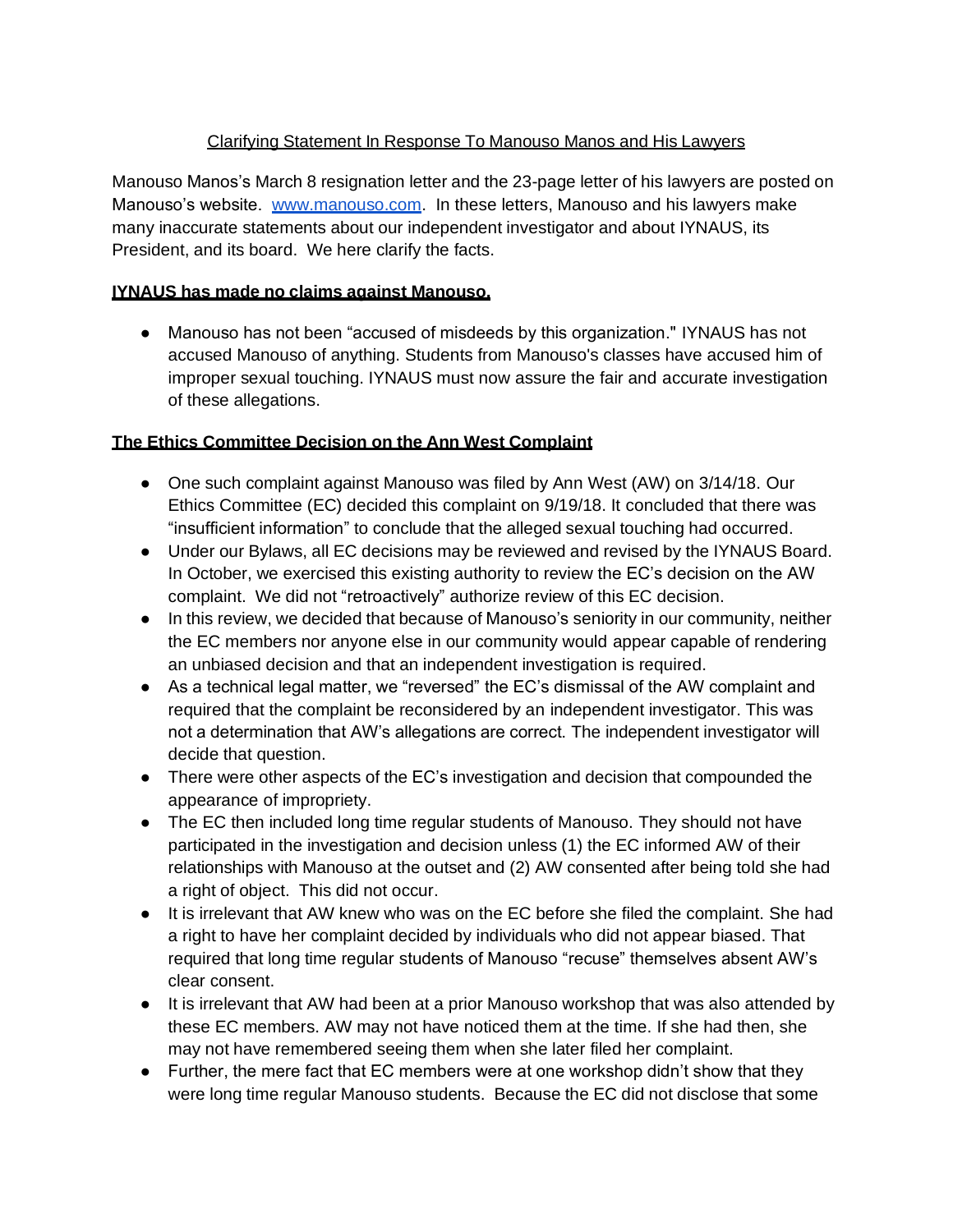## Clarifying Statement In Response To Manouso Manos and His Lawyers

Manouso Manos's March 8 resignation letter and the 23-page letter of his lawyers are posted on Manouso's website. [www.manouso.com.](http://www.manouso.com/) In these letters, Manouso and his lawyers make many inaccurate statements about our independent investigator and about IYNAUS, its President, and its board. We here clarify the facts.

## **IYNAUS has made no claims against Manouso.**

● Manouso has not been "accused of misdeeds by this organization." IYNAUS has not accused Manouso of anything. Students from Manouso's classes have accused him of improper sexual touching. IYNAUS must now assure the fair and accurate investigation of these allegations.

#### **The Ethics Committee Decision on the Ann West Complaint**

- One such complaint against Manouso was filed by Ann West (AW) on 3/14/18. Our Ethics Committee (EC) decided this complaint on 9/19/18. It concluded that there was "insufficient information" to conclude that the alleged sexual touching had occurred.
- Under our Bylaws, all EC decisions may be reviewed and revised by the IYNAUS Board. In October, we exercised this existing authority to review the EC's decision on the AW complaint. We did not "retroactively" authorize review of this EC decision.
- In this review, we decided that because of Manouso's seniority in our community, neither the EC members nor anyone else in our community would appear capable of rendering an unbiased decision and that an independent investigation is required.
- As a technical legal matter, we "reversed" the EC's dismissal of the AW complaint and required that the complaint be reconsidered by an independent investigator. This was not a determination that AW's allegations are correct. The independent investigator will decide that question.
- There were other aspects of the EC's investigation and decision that compounded the appearance of impropriety.
- The EC then included long time regular students of Manouso. They should not have participated in the investigation and decision unless (1) the EC informed AW of their relationships with Manouso at the outset and (2) AW consented after being told she had a right of object. This did not occur.
- It is irrelevant that AW knew who was on the EC before she filed the complaint. She had a right to have her complaint decided by individuals who did not appear biased. That required that long time regular students of Manouso "recuse" themselves absent AW's clear consent.
- It is irrelevant that AW had been at a prior Manouso workshop that was also attended by these EC members. AW may not have noticed them at the time. If she had then, she may not have remembered seeing them when she later filed her complaint.
- Further, the mere fact that EC members were at one workshop didn't show that they were long time regular Manouso students. Because the EC did not disclose that some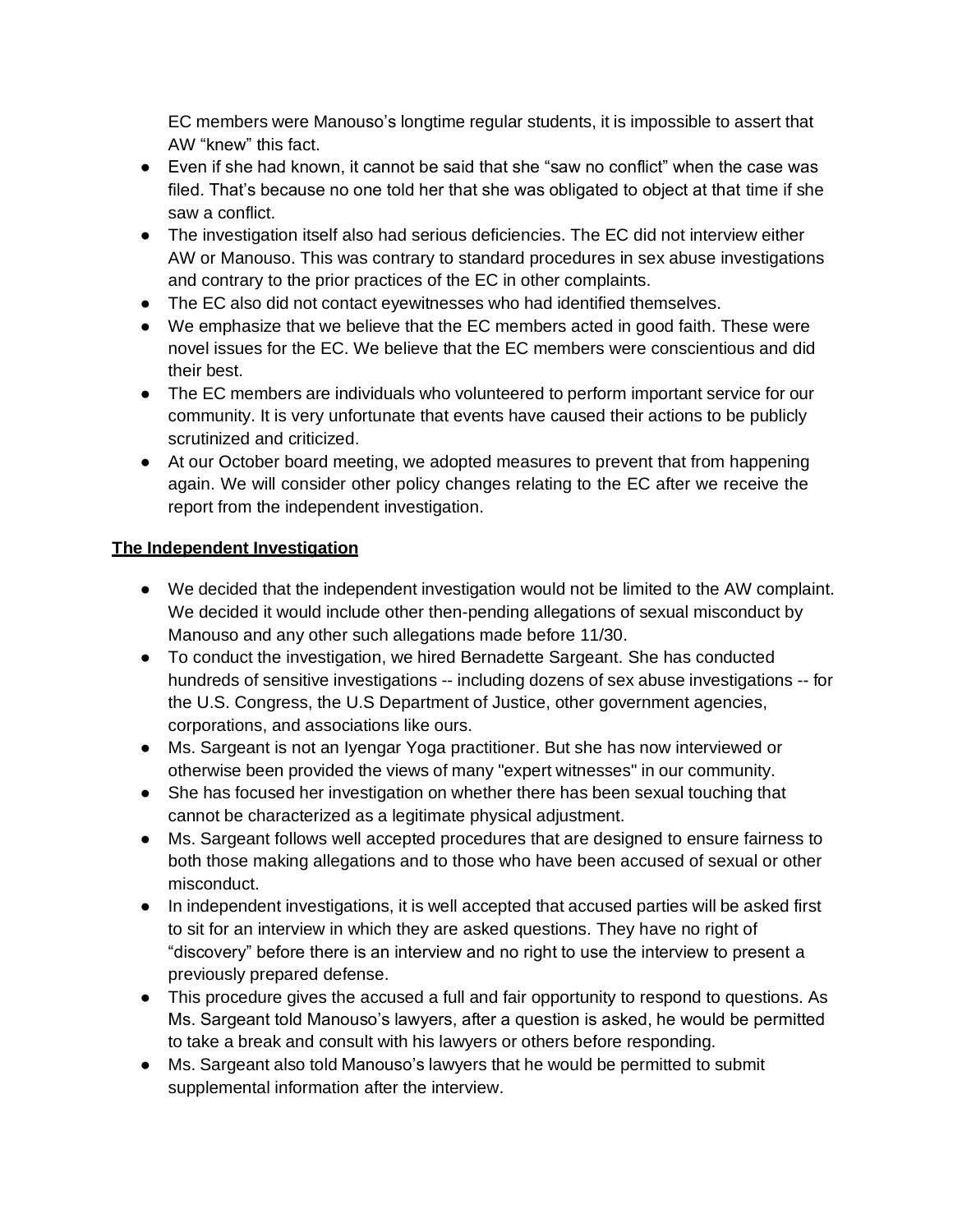EC members were Manouso's longtime regular students, it is impossible to assert that AW "knew" this fact.

- Even if she had known, it cannot be said that she "saw no conflict" when the case was filed. That's because no one told her that she was obligated to object at that time if she saw a conflict.
- The investigation itself also had serious deficiencies. The EC did not interview either AW or Manouso. This was contrary to standard procedures in sex abuse investigations and contrary to the prior practices of the EC in other complaints.
- The EC also did not contact eyewitnesses who had identified themselves.
- We emphasize that we believe that the EC members acted in good faith. These were novel issues for the EC. We believe that the EC members were conscientious and did their best.
- The EC members are individuals who volunteered to perform important service for our community. It is very unfortunate that events have caused their actions to be publicly scrutinized and criticized.
- At our October board meeting, we adopted measures to prevent that from happening again. We will consider other policy changes relating to the EC after we receive the report from the independent investigation.

## **The Independent Investigation**

- We decided that the independent investigation would not be limited to the AW complaint. We decided it would include other then-pending allegations of sexual misconduct by Manouso and any other such allegations made before 11/30.
- To conduct the investigation, we hired Bernadette Sargeant. She has conducted hundreds of sensitive investigations -- including dozens of sex abuse investigations -- for the U.S. Congress, the U.S Department of Justice, other government agencies, corporations, and associations like ours.
- Ms. Sargeant is not an Iyengar Yoga practitioner. But she has now interviewed or otherwise been provided the views of many "expert witnesses" in our community.
- She has focused her investigation on whether there has been sexual touching that cannot be characterized as a legitimate physical adjustment.
- Ms. Sargeant follows well accepted procedures that are designed to ensure fairness to both those making allegations and to those who have been accused of sexual or other misconduct.
- In independent investigations, it is well accepted that accused parties will be asked first to sit for an interview in which they are asked questions. They have no right of "discovery" before there is an interview and no right to use the interview to present a previously prepared defense.
- This procedure gives the accused a full and fair opportunity to respond to questions. As Ms. Sargeant told Manouso's lawyers, after a question is asked, he would be permitted to take a break and consult with his lawyers or others before responding.
- Ms. Sargeant also told Manouso's lawyers that he would be permitted to submit supplemental information after the interview.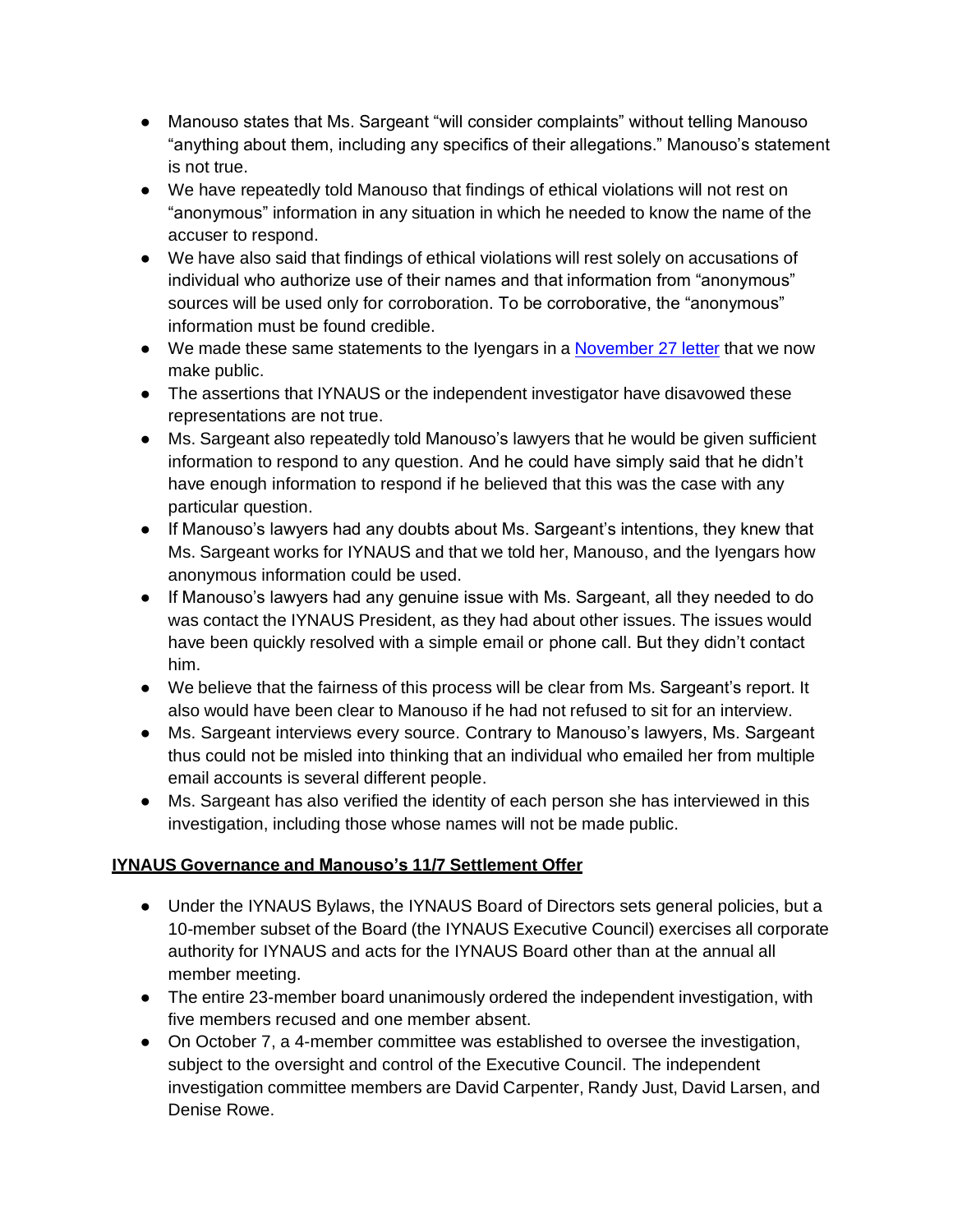- Manouso states that Ms. Sargeant "will consider complaints" without telling Manouso "anything about them, including any specifics of their allegations." Manouso's statement is not true.
- We have repeatedly told Manouso that findings of ethical violations will not rest on "anonymous" information in any situation in which he needed to know the name of the accuser to respond.
- We have also said that findings of ethical violations will rest solely on accusations of individual who authorize use of their names and that information from "anonymous" sources will be used only for corroboration. To be corroborative, the "anonymous" information must be found credible.
- We made these same statements to the Iyengars in a **[November](https://staging.neonwebhosting.com/iynaus/wp-content/uploads/2021/04/iynaus_board_response_to_rimyi_letter_of_november_27_2018-1.pdf) 27 letter** that we now make public.
- The assertions that IYNAUS or the independent investigator have disavowed these representations are not true.
- Ms. Sargeant also repeatedly told Manouso's lawyers that he would be given sufficient information to respond to any question. And he could have simply said that he didn't have enough information to respond if he believed that this was the case with any particular question.
- If Manouso's lawyers had any doubts about Ms. Sargeant's intentions, they knew that Ms. Sargeant works for IYNAUS and that we told her, Manouso, and the Iyengars how anonymous information could be used.
- If Manouso's lawyers had any genuine issue with Ms. Sargeant, all they needed to do was contact the IYNAUS President, as they had about other issues. The issues would have been quickly resolved with a simple email or phone call. But they didn't contact him.
- We believe that the fairness of this process will be clear from Ms. Sargeant's report. It also would have been clear to Manouso if he had not refused to sit for an interview.
- Ms. Sargeant interviews every source. Contrary to Manouso's lawyers, Ms. Sargeant thus could not be misled into thinking that an individual who emailed her from multiple email accounts is several different people.
- Ms. Sargeant has also verified the identity of each person she has interviewed in this investigation, including those whose names will not be made public.

# **IYNAUS Governance and Manouso's 11/7 Settlement Offer**

- Under the IYNAUS Bylaws, the IYNAUS Board of Directors sets general policies, but a 10-member subset of the Board (the IYNAUS Executive Council) exercises all corporate authority for IYNAUS and acts for the IYNAUS Board other than at the annual all member meeting.
- The entire 23-member board unanimously ordered the independent investigation, with five members recused and one member absent.
- On October 7, a 4-member committee was established to oversee the investigation, subject to the oversight and control of the Executive Council. The independent investigation committee members are David Carpenter, Randy Just, David Larsen, and Denise Rowe.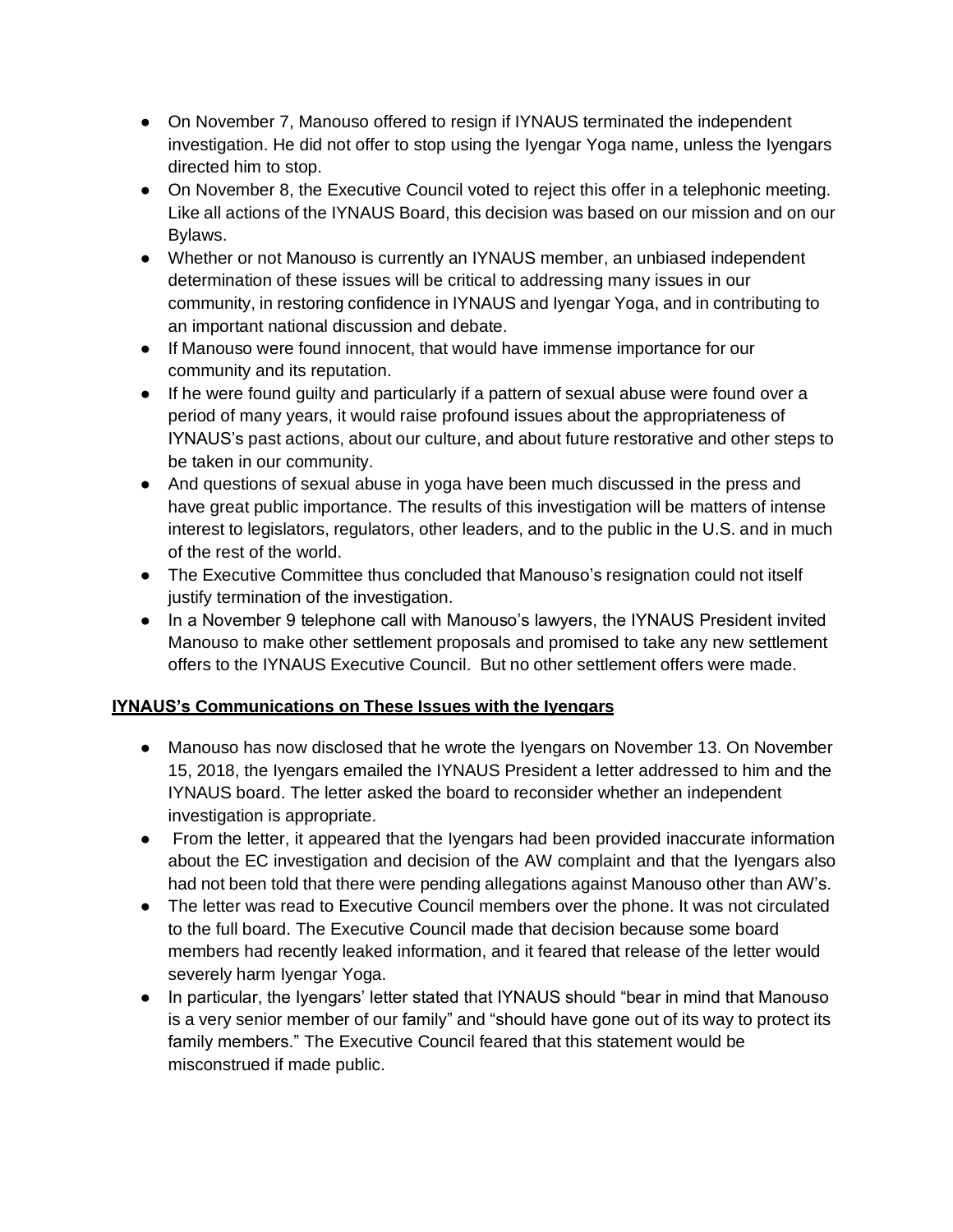- On November 7, Manouso offered to resign if IYNAUS terminated the independent investigation. He did not offer to stop using the Iyengar Yoga name, unless the Iyengars directed him to stop.
- On November 8, the Executive Council voted to reject this offer in a telephonic meeting. Like all actions of the IYNAUS Board, this decision was based on our mission and on our Bylaws.
- Whether or not Manouso is currently an IYNAUS member, an unbiased independent determination of these issues will be critical to addressing many issues in our community, in restoring confidence in IYNAUS and Iyengar Yoga, and in contributing to an important national discussion and debate.
- If Manouso were found innocent, that would have immense importance for our community and its reputation.
- If he were found guilty and particularly if a pattern of sexual abuse were found over a period of many years, it would raise profound issues about the appropriateness of IYNAUS's past actions, about our culture, and about future restorative and other steps to be taken in our community.
- And questions of sexual abuse in yoga have been much discussed in the press and have great public importance. The results of this investigation will be matters of intense interest to legislators, regulators, other leaders, and to the public in the U.S. and in much of the rest of the world.
- The Executive Committee thus concluded that Manouso's resignation could not itself justify termination of the investigation.
- In a November 9 telephone call with Manouso's lawyers, the IYNAUS President invited Manouso to make other settlement proposals and promised to take any new settlement offers to the IYNAUS Executive Council. But no other settlement offers were made.

#### **IYNAUS's Communications on These Issues with the Iyengars**

- Manouso has now disclosed that he wrote the Iyengars on November 13. On November 15, 2018, the Iyengars emailed the IYNAUS President a letter addressed to him and the IYNAUS board. The letter asked the board to reconsider whether an independent investigation is appropriate.
- From the letter, it appeared that the Iyengars had been provided inaccurate information about the EC investigation and decision of the AW complaint and that the Iyengars also had not been told that there were pending allegations against Manouso other than AW's.
- The letter was read to Executive Council members over the phone. It was not circulated to the full board. The Executive Council made that decision because some board members had recently leaked information, and it feared that release of the letter would severely harm Iyengar Yoga.
- In particular, the Iyengars' letter stated that IYNAUS should "bear in mind that Manouso is a very senior member of our family" and "should have gone out of its way to protect its family members." The Executive Council feared that this statement would be misconstrued if made public.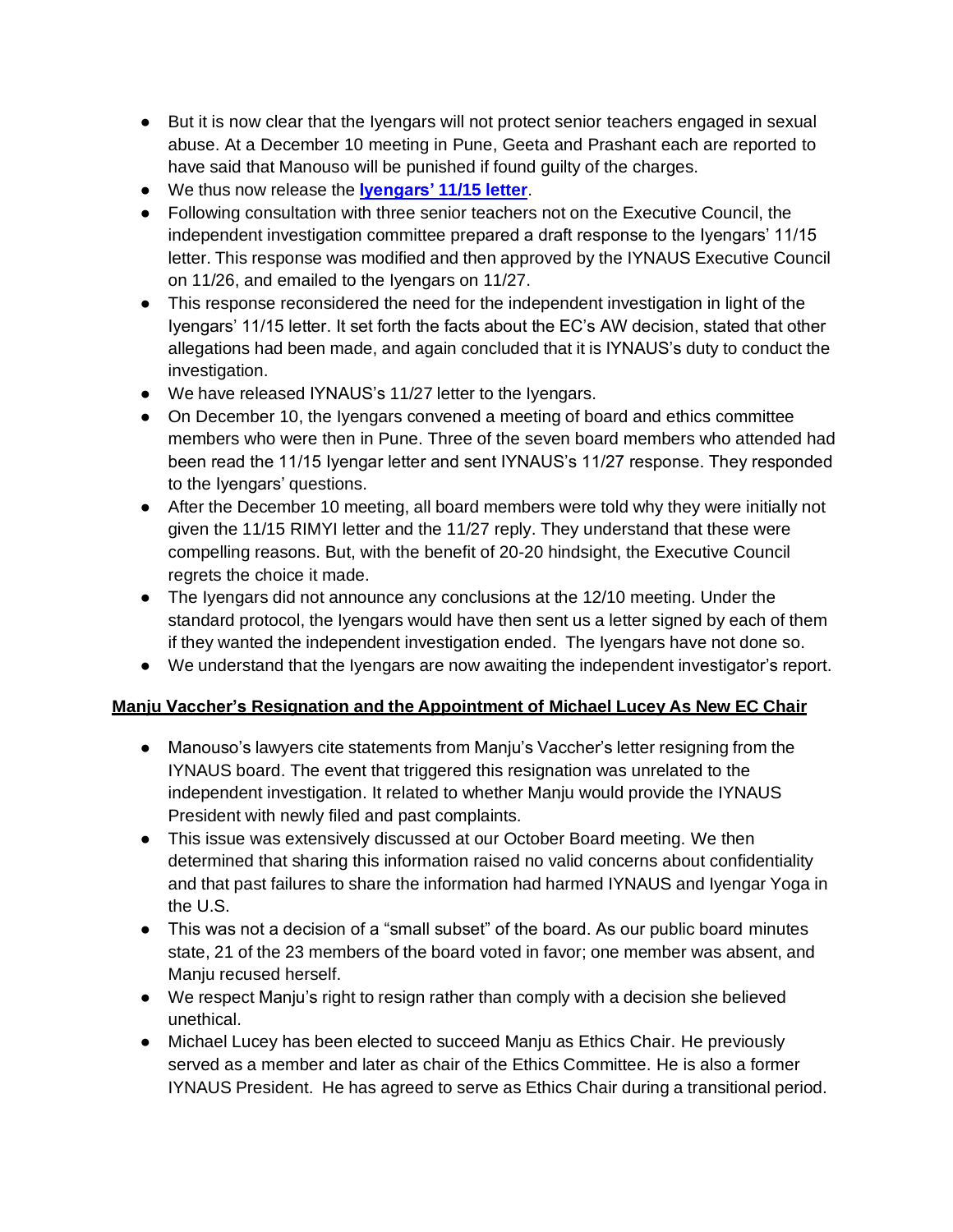- But it is now clear that the Iyengars will not protect senior teachers engaged in sexual abuse. At a December 10 meeting in Pune, Geeta and Prashant each are reported to have said that Manouso will be punished if found guilty of the charges.
- We thus now release the **[Iyengars'](https://staging.neonwebhosting.com/iynaus/wp-content/uploads/2021/04/rimyi_letter_to_iynaus.pdf) 11/15 letter**.
- Following consultation with three senior teachers not on the Executive Council, the independent investigation committee prepared a draft response to the Iyengars' 11/15 letter. This response was modified and then approved by the IYNAUS Executive Council on 11/26, and emailed to the Iyengars on 11/27.
- This response reconsidered the need for the independent investigation in light of the Iyengars' 11/15 letter. It set forth the facts about the EC's AW decision, stated that other allegations had been made, and again concluded that it is IYNAUS's duty to conduct the investigation.
- We have released IYNAUS's 11/27 letter to the Iyengars.
- On December 10, the Iyengars convened a meeting of board and ethics committee members who were then in Pune. Three of the seven board members who attended had been read the 11/15 Iyengar letter and sent IYNAUS's 11/27 response. They responded to the Iyengars' questions.
- After the December 10 meeting, all board members were told why they were initially not given the 11/15 RIMYI letter and the 11/27 reply. They understand that these were compelling reasons. But, with the benefit of 20-20 hindsight, the Executive Council regrets the choice it made.
- The Iyengars did not announce any conclusions at the 12/10 meeting. Under the standard protocol, the Iyengars would have then sent us a letter signed by each of them if they wanted the independent investigation ended. The Iyengars have not done so.
- We understand that the Iyengars are now awaiting the independent investigator's report.

#### **Manju Vaccher's Resignation and the Appointment of Michael Lucey As New EC Chair**

- Manouso's lawyers cite statements from Manju's Vaccher's letter resigning from the IYNAUS board. The event that triggered this resignation was unrelated to the independent investigation. It related to whether Manju would provide the IYNAUS President with newly filed and past complaints.
- This issue was extensively discussed at our October Board meeting. We then determined that sharing this information raised no valid concerns about confidentiality and that past failures to share the information had harmed IYNAUS and Iyengar Yoga in the U.S.
- This was not a decision of a "small subset" of the board. As our public board minutes state, 21 of the 23 members of the board voted in favor; one member was absent, and Manju recused herself.
- We respect Manju's right to resign rather than comply with a decision she believed unethical.
- Michael Lucey has been elected to succeed Manju as Ethics Chair. He previously served as a member and later as chair of the Ethics Committee. He is also a former IYNAUS President. He has agreed to serve as Ethics Chair during a transitional period.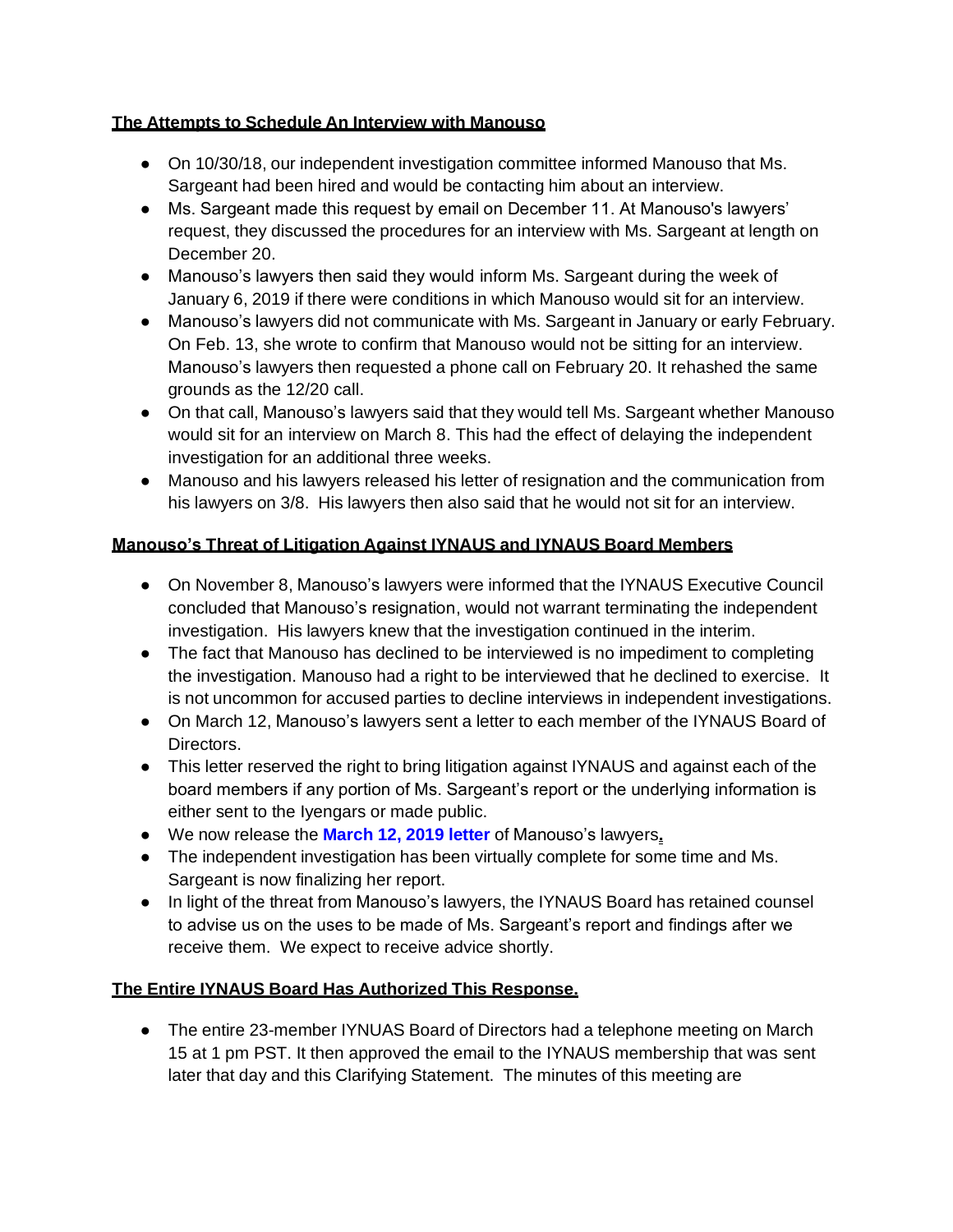#### **The Attempts to Schedule An Interview with Manouso**

- On 10/30/18, our independent investigation committee informed Manouso that Ms. Sargeant had been hired and would be contacting him about an interview.
- Ms. Sargeant made this request by email on December 11. At Manouso's lawyers' request, they discussed the procedures for an interview with Ms. Sargeant at length on December 20.
- Manouso's lawyers then said they would inform Ms. Sargeant during the week of January 6, 2019 if there were conditions in which Manouso would sit for an interview.
- Manouso's lawyers did not communicate with Ms. Sargeant in January or early February. On Feb. 13, she wrote to confirm that Manouso would not be sitting for an interview. Manouso's lawyers then requested a phone call on February 20. It rehashed the same grounds as the 12/20 call.
- On that call, Manouso's lawyers said that they would tell Ms. Sargeant whether Manouso would sit for an interview on March 8. This had the effect of delaying the independent investigation for an additional three weeks.
- Manouso and his lawyers released his letter of resignation and the communication from his lawyers on 3/8. His lawyers then also said that he would not sit for an interview.

## **Manouso's Threat of Litigation Against IYNAUS and IYNAUS Board Members**

- On November 8, Manouso's lawyers were informed that the IYNAUS Executive Council concluded that Manouso's resignation, would not warrant terminating the independent investigation. His lawyers knew that the investigation continued in the interim.
- The fact that Manouso has declined to be interviewed is no impediment to completing the investigation. Manouso had a right to be interviewed that he declined to exercise. It is not uncommon for accused parties to decline interviews in independent investigations.
- On March 12, Manouso's lawyers sent a letter to each member of the IYNAUS Board of Directors.
- This letter reserved the right to bring litigation against IYNAUS and against each of the board members if any portion of Ms. Sargeant's report or the underlying information is either sent to the Iyengars or made public.
- We now release the **[March](https://staging.neonwebhosting.com/iynaus/wp-content/uploads/2021/04/march_12_2019_from_mm_lawyers.pdf) 12, 2019 letter** of Manouso's lawyers**.**
- The independent investigation has been virtually complete for some time and Ms. Sargeant is now finalizing her report.
- In light of the threat from Manouso's lawyers, the IYNAUS Board has retained counsel to advise us on the uses to be made of Ms. Sargeant's report and findings after we receive them. We expect to receive advice shortly.

#### **The Entire IYNAUS Board Has Authorized This Response.**

● The entire 23-member IYNUAS Board of Directors had a telephone meeting on March 15 at 1 pm PST. It then approved the email to the IYNAUS membership that was sent later that day and this Clarifying Statement. The minutes of this meeting are